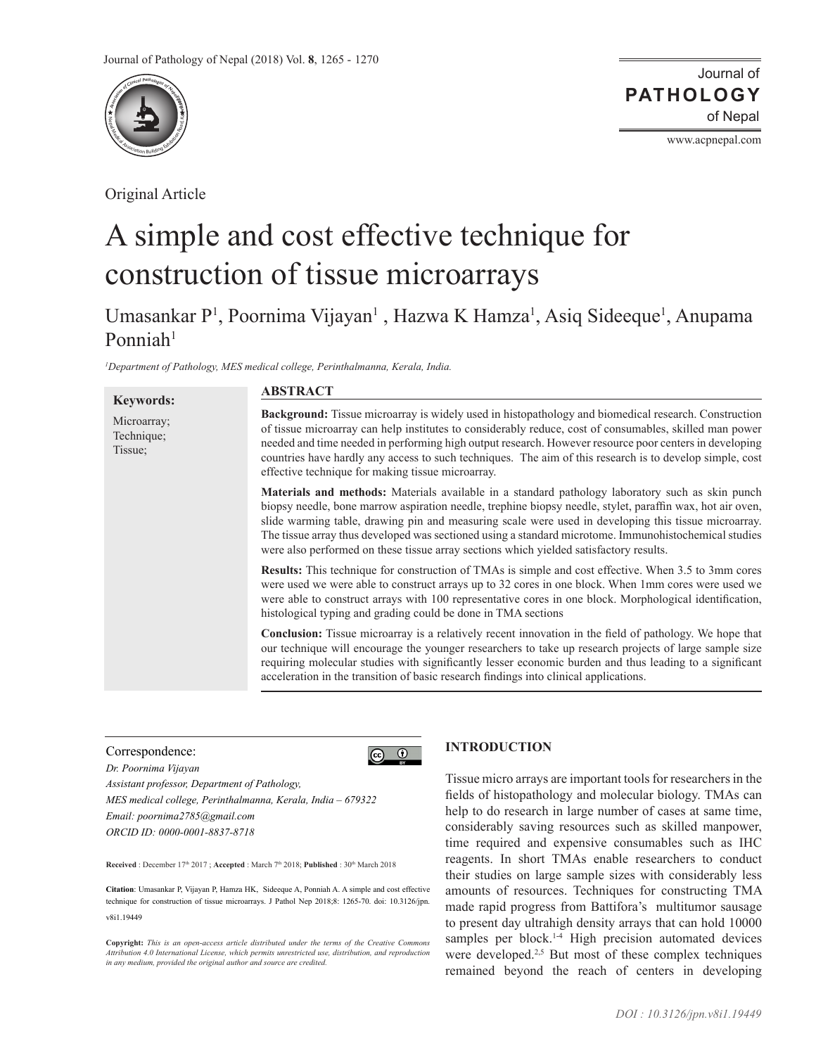

Original Article

Journal of of Nepal **PATHOLOGY**

www.acpnepal.com

# A simple and cost effective technique for construction of tissue microarrays

Umasankar P<sup>1</sup>, Poornima Vijayan<sup>1</sup>, Hazwa K Hamza<sup>1</sup>, Asiq Sideeque<sup>1</sup>, Anupama Ponniah $1$ 

*1 Department of Pathology, MES medical college, Perinthalmanna, Kerala, India.*

|                                                          | <b>ABSTRACT</b>                                                                                                                                                                                                                                                                                                                                                                                                                                                                                                                 |
|----------------------------------------------------------|---------------------------------------------------------------------------------------------------------------------------------------------------------------------------------------------------------------------------------------------------------------------------------------------------------------------------------------------------------------------------------------------------------------------------------------------------------------------------------------------------------------------------------|
| <b>Keywords:</b><br>Microarray;<br>Technique;<br>Tissue; | <b>Background:</b> Tissue microarray is widely used in histopathology and biomedical research. Construction<br>of tissue microarray can help institutes to considerably reduce, cost of consumables, skilled man power<br>needed and time needed in performing high output research. However resource poor centers in developing<br>countries have hardly any access to such techniques. The aim of this research is to develop simple, cost<br>effective technique for making tissue microarray.                               |
|                                                          | <b>Materials and methods:</b> Materials available in a standard pathology laboratory such as skin punch<br>biopsy needle, bone marrow aspiration needle, trephine biopsy needle, stylet, paraffin wax, hot air oven,<br>slide warming table, drawing pin and measuring scale were used in developing this tissue microarray.<br>The tissue array thus developed was sectioned using a standard microtome. Immunohistochemical studies<br>were also performed on these tissue array sections which yielded satisfactory results. |
|                                                          | Results: This technique for construction of TMAs is simple and cost effective. When 3.5 to 3mm cores<br>were used we were able to construct arrays up to 32 cores in one block. When 1mm cores were used we<br>were able to construct arrays with 100 representative cores in one block. Morphological identification,<br>histological typing and grading could be done in TMA sections                                                                                                                                         |
|                                                          | <b>Conclusion:</b> Tissue microarray is a relatively recent innovation in the field of pathology. We hope that<br>our technique will encourage the younger researchers to take up research projects of large sample size<br>requiring molecular studies with significantly lesser economic burden and thus leading to a significant<br>acceleration in the transition of basic research findings into clinical applications.                                                                                                    |

 $\odot$   $\odot$ 

## Correspondence:

*Dr. Poornima Vijayan Assistant professor, Department of Pathology, MES medical college, Perinthalmanna, Kerala, India – 679322 Email: poornima2785@gmail.com ORCID ID: 0000-0001-8837-8718*

Received : December 17<sup>th</sup> 2017 ; Accepted : March 7<sup>th</sup> 2018; Published : 30<sup>th</sup> March 2018

**Citation**: Umasankar P, Vijayan P, Hamza HK, Sideeque A, Ponniah A. A simple and cost effective technique for construction of tissue microarrays. J Pathol Nep 2018;8: 1265-70. doi: 10.3126/jpn. v8i1.19449

**Copyright:** *This is an open-access article distributed under the terms of the Creative Commons Attribution 4.0 International License, which permits unrestricted use, distribution, and reproduction in any medium, provided the original author and source are credited.*

# **INTRODUCTION**

Tissue micro arrays are important tools for researchers in the fields of histopathology and molecular biology. TMAs can help to do research in large number of cases at same time, considerably saving resources such as skilled manpower, time required and expensive consumables such as IHC reagents. In short TMAs enable researchers to conduct their studies on large sample sizes with considerably less amounts of resources. Techniques for constructing TMA made rapid progress from Battifora's multitumor sausage to present day ultrahigh density arrays that can hold 10000 samples per block. $14$  High precision automated devices were developed.<sup>2,5</sup> But most of these complex techniques remained beyond the reach of centers in developing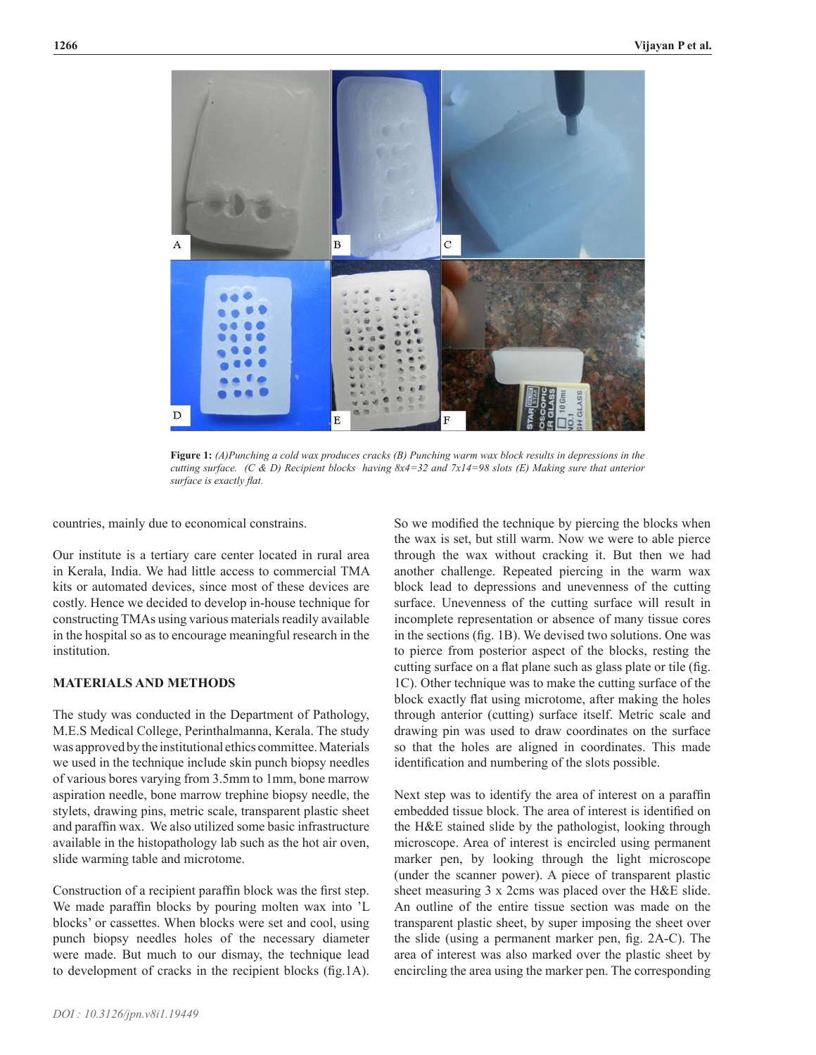

**Figure 1:** *(A)Punching a cold wax produces cracks (B) Punching warm wax block results in depressions in the cutting surface. (C & D) Recipient blocks having 8x4=32 and 7x14=98 slots (E) Making sure that anterior surface is exactly flat.*

countries, mainly due to economical constrains.

Our institute is a tertiary care center located in rural area in Kerala, India. We had little access to commercial TMA kits or automated devices, since most of these devices are costly. Hence we decided to develop in-house technique for constructing TMAs using various materials readily available in the hospital so as to encourage meaningful research in the institution.

# **MATERIALS AND METHODS**

The study was conducted in the Department of Pathology, M.E.S Medical College, Perinthalmanna, Kerala. The study was approved by the institutional ethics committee. Materials we used in the technique include skin punch biopsy needles of various bores varying from 3.5mm to 1mm, bone marrow aspiration needle, bone marrow trephine biopsy needle, the stylets, drawing pins, metric scale, transparent plastic sheet and paraffin wax. We also utilized some basic infrastructure available in the histopathology lab such as the hot air oven, slide warming table and microtome.

Construction of a recipient paraffin block was the first step. We made paraffin blocks by pouring molten wax into 'L blocks' or cassettes. When blocks were set and cool, using punch biopsy needles holes of the necessary diameter were made. But much to our dismay, the technique lead to development of cracks in the recipient blocks (fig.1A).

So we modified the technique by piercing the blocks when the wax is set, but still warm. Now we were to able pierce through the wax without cracking it. But then we had another challenge. Repeated piercing in the warm wax block lead to depressions and unevenness of the cutting surface. Unevenness of the cutting surface will result in incomplete representation or absence of many tissue cores in the sections (fig. 1B). We devised two solutions. One was to pierce from posterior aspect of the blocks, resting the cutting surface on a flat plane such as glass plate or tile (fig. 1C). Other technique was to make the cutting surface of the block exactly flat using microtome, after making the holes through anterior (cutting) surface itself. Metric scale and drawing pin was used to draw coordinates on the surface so that the holes are aligned in coordinates. This made identification and numbering of the slots possible.

Next step was to identify the area of interest on a paraffin embedded tissue block. The area of interest is identified on the H&E stained slide by the pathologist, looking through microscope. Area of interest is encircled using permanent marker pen, by looking through the light microscope (under the scanner power). A piece of transparent plastic sheet measuring 3 x 2cms was placed over the H&E slide. An outline of the entire tissue section was made on the transparent plastic sheet, by super imposing the sheet over the slide (using a permanent marker pen, fig. 2A-C). The area of interest was also marked over the plastic sheet by encircling the area using the marker pen. The corresponding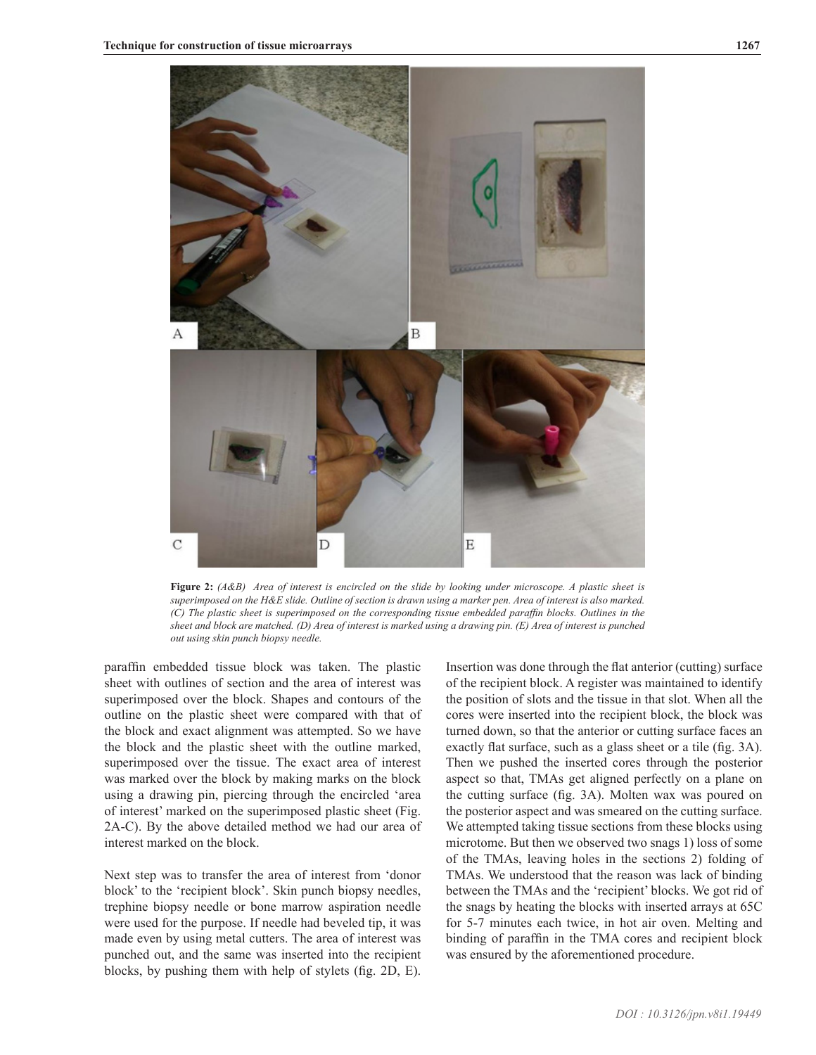

**Figure 2:** *(A&B) Area of interest is encircled on the slide by looking under microscope. A plastic sheet is superimposed on the H&E slide. Outline of section is drawn using a marker pen. Area of interest is also marked. (C) The plastic sheet is superimposed on the corresponding tissue embedded paraffin blocks. Outlines in the sheet and block are matched. (D) Area of interest is marked using a drawing pin. (E) Area of interest is punched out using skin punch biopsy needle.* 

paraffin embedded tissue block was taken. The plastic sheet with outlines of section and the area of interest was superimposed over the block. Shapes and contours of the outline on the plastic sheet were compared with that of the block and exact alignment was attempted. So we have the block and the plastic sheet with the outline marked, superimposed over the tissue. The exact area of interest was marked over the block by making marks on the block using a drawing pin, piercing through the encircled 'area of interest' marked on the superimposed plastic sheet (Fig. 2A-C). By the above detailed method we had our area of interest marked on the block.

Next step was to transfer the area of interest from 'donor block' to the 'recipient block'. Skin punch biopsy needles, trephine biopsy needle or bone marrow aspiration needle were used for the purpose. If needle had beveled tip, it was made even by using metal cutters. The area of interest was punched out, and the same was inserted into the recipient blocks, by pushing them with help of stylets (fig. 2D, E).

Insertion was done through the flat anterior (cutting) surface of the recipient block. A register was maintained to identify the position of slots and the tissue in that slot. When all the cores were inserted into the recipient block, the block was turned down, so that the anterior or cutting surface faces an exactly flat surface, such as a glass sheet or a tile (fig. 3A). Then we pushed the inserted cores through the posterior aspect so that, TMAs get aligned perfectly on a plane on the cutting surface (fig. 3A). Molten wax was poured on the posterior aspect and was smeared on the cutting surface. We attempted taking tissue sections from these blocks using microtome. But then we observed two snags 1) loss of some of the TMAs, leaving holes in the sections 2) folding of TMAs. We understood that the reason was lack of binding between the TMAs and the 'recipient' blocks. We got rid of the snags by heating the blocks with inserted arrays at 65C for 5-7 minutes each twice, in hot air oven. Melting and binding of paraffin in the TMA cores and recipient block was ensured by the aforementioned procedure.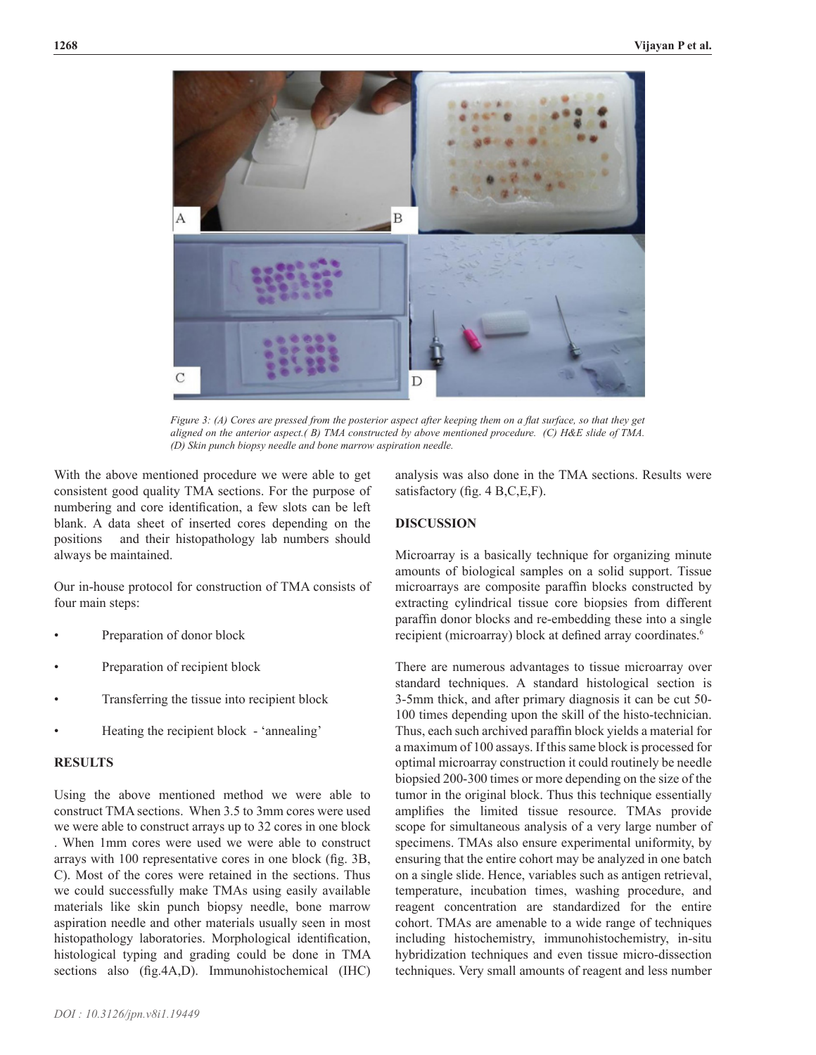

*Figure 3: (A) Cores are pressed from the posterior aspect after keeping them on a flat surface, so that they get aligned on the anterior aspect.( B) TMA constructed by above mentioned procedure. (C) H&E slide of TMA. (D) Skin punch biopsy needle and bone marrow aspiration needle.* 

With the above mentioned procedure we were able to get consistent good quality TMA sections. For the purpose of numbering and core identification, a few slots can be left blank. A data sheet of inserted cores depending on the positions and their histopathology lab numbers should always be maintained.

Our in-house protocol for construction of TMA consists of four main steps:

- Preparation of donor block
- Preparation of recipient block
- Transferring the tissue into recipient block
- Heating the recipient block 'annealing'

## **RESULTS**

Using the above mentioned method we were able to construct TMA sections. When 3.5 to 3mm cores were used we were able to construct arrays up to 32 cores in one block . When 1mm cores were used we were able to construct arrays with 100 representative cores in one block (fig. 3B, C). Most of the cores were retained in the sections. Thus we could successfully make TMAs using easily available materials like skin punch biopsy needle, bone marrow aspiration needle and other materials usually seen in most histopathology laboratories. Morphological identification, histological typing and grading could be done in TMA sections also (fig.4A,D). Immunohistochemical (IHC)

analysis was also done in the TMA sections. Results were satisfactory (fig. 4 B,C,E,F).

#### **DISCUSSION**

Microarray is a basically technique for organizing minute amounts of biological samples on a solid support. Tissue microarrays are composite paraffin blocks constructed by extracting cylindrical tissue core biopsies from different paraffin donor blocks and re-embedding these into a single recipient (microarray) block at defined array coordinates.<sup>6</sup>

There are numerous advantages to tissue microarray over standard techniques. A standard histological section is 3-5mm thick, and after primary diagnosis it can be cut 50- 100 times depending upon the skill of the histo-technician. Thus, each such archived paraffin block yields a material for a maximum of 100 assays. If this same block is processed for optimal microarray construction it could routinely be needle biopsied 200-300 times or more depending on the size of the tumor in the original block. Thus this technique essentially amplifies the limited tissue resource. TMAs provide scope for simultaneous analysis of a very large number of specimens. TMAs also ensure experimental uniformity, by ensuring that the entire cohort may be analyzed in one batch on a single slide. Hence, variables such as antigen retrieval, temperature, incubation times, washing procedure, and reagent concentration are standardized for the entire cohort. TMAs are amenable to a wide range of techniques including histochemistry, immunohistochemistry, in-situ hybridization techniques and even tissue micro-dissection techniques. Very small amounts of reagent and less number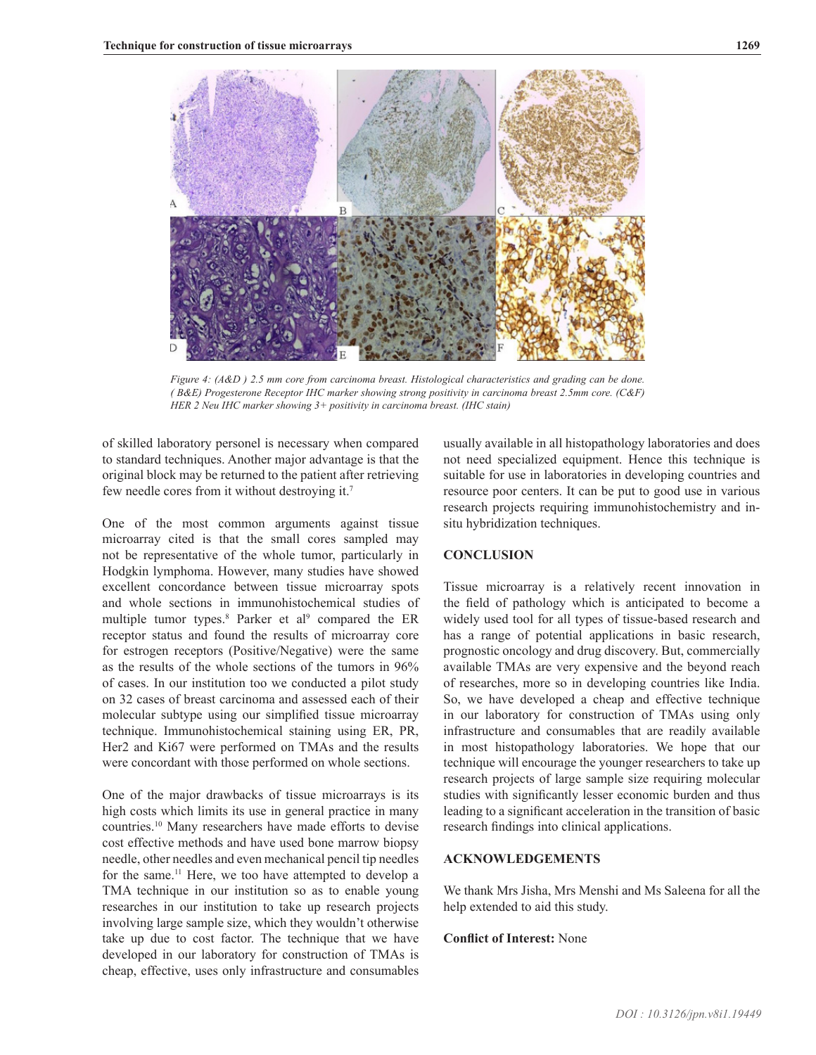

*Figure 4: (A&D ) 2.5 mm core from carcinoma breast. Histological characteristics and grading can be done. ( B&E) Progesterone Receptor IHC marker showing strong positivity in carcinoma breast 2.5mm core. (C&F) HER 2 Neu IHC marker showing 3+ positivity in carcinoma breast. (IHC stain)*

of skilled laboratory personel is necessary when compared to standard techniques. Another major advantage is that the original block may be returned to the patient after retrieving few needle cores from it without destroying it.7

One of the most common arguments against tissue microarray cited is that the small cores sampled may not be representative of the whole tumor, particularly in Hodgkin lymphoma. However, many studies have showed excellent concordance between tissue microarray spots and whole sections in immunohistochemical studies of multiple tumor types.<sup>8</sup> Parker et al<sup>9</sup> compared the ER receptor status and found the results of microarray core for estrogen receptors (Positive/Negative) were the same as the results of the whole sections of the tumors in 96% of cases. In our institution too we conducted a pilot study on 32 cases of breast carcinoma and assessed each of their molecular subtype using our simplified tissue microarray technique. Immunohistochemical staining using ER, PR, Her2 and Ki67 were performed on TMAs and the results were concordant with those performed on whole sections.

One of the major drawbacks of tissue microarrays is its high costs which limits its use in general practice in many countries.10 Many researchers have made efforts to devise cost effective methods and have used bone marrow biopsy needle, other needles and even mechanical pencil tip needles for the same.<sup>11</sup> Here, we too have attempted to develop a TMA technique in our institution so as to enable young researches in our institution to take up research projects involving large sample size, which they wouldn't otherwise take up due to cost factor. The technique that we have developed in our laboratory for construction of TMAs is cheap, effective, uses only infrastructure and consumables

usually available in all histopathology laboratories and does not need specialized equipment. Hence this technique is suitable for use in laboratories in developing countries and resource poor centers. It can be put to good use in various research projects requiring immunohistochemistry and insitu hybridization techniques.

## **CONCLUSION**

Tissue microarray is a relatively recent innovation in the field of pathology which is anticipated to become a widely used tool for all types of tissue-based research and has a range of potential applications in basic research, prognostic oncology and drug discovery. But, commercially available TMAs are very expensive and the beyond reach of researches, more so in developing countries like India. So, we have developed a cheap and effective technique in our laboratory for construction of TMAs using only infrastructure and consumables that are readily available in most histopathology laboratories. We hope that our technique will encourage the younger researchers to take up research projects of large sample size requiring molecular studies with significantly lesser economic burden and thus leading to a significant acceleration in the transition of basic research findings into clinical applications.

# **ACKNOWLEDGEMENTS**

We thank Mrs Jisha, Mrs Menshi and Ms Saleena for all the help extended to aid this study.

### **Conflict of Interest:** None